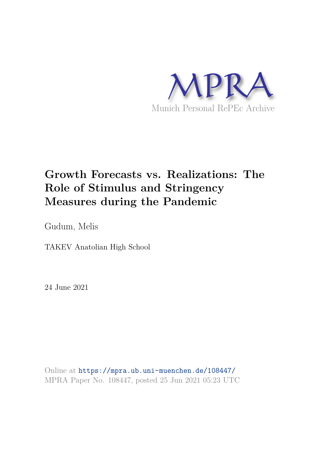

# **Growth Forecasts vs. Realizations: The Role of Stimulus and Stringency Measures during the Pandemic**

Gudum, Melis

TAKEV Anatolian High School

24 June 2021

Online at https://mpra.ub.uni-muenchen.de/108447/ MPRA Paper No. 108447, posted 25 Jun 2021 05:23 UTC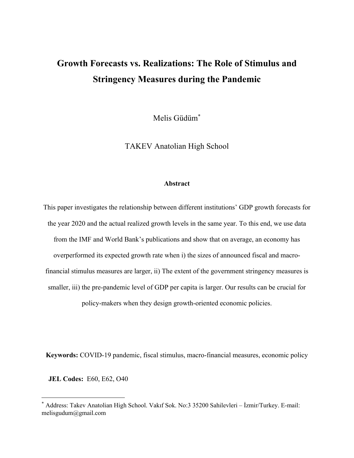# **Growth Forecasts vs. Realizations: The Role of Stimulus and Stringency Measures during the Pandemic**

Melis Güdüm\*

TAKEV Anatolian High School

#### **Abstract**

This paper investigates the relationship between different institutions' GDP growth forecasts for the year 2020 and the actual realized growth levels in the same year. To this end, we use data from the IMF and World Bank's publications and show that on average, an economy has overperformed its expected growth rate when i) the sizes of announced fiscal and macrofinancial stimulus measures are larger, ii) The extent of the government stringency measures is smaller, iii) the pre-pandemic level of GDP per capita is larger. Our results can be crucial for policy-makers when they design growth-oriented economic policies.

**Keywords:** COVID-19 pandemic, fiscal stimulus, macro-financial measures, economic policy

 **JEL Codes:** E60, E62, O40

<sup>\*</sup> Address: Takev Anatolian High School. Vakıf Sok. No:3 35200 Sahilevleri – İzmir/Turkey. E-mail: melisgudum@gmail.com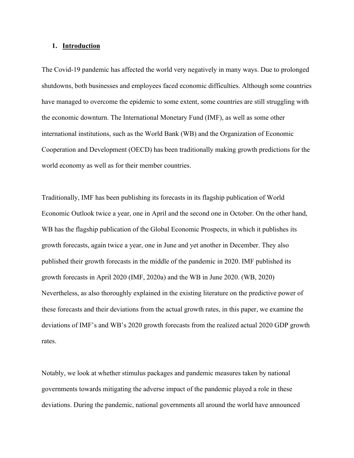#### **1. Introduction**

The Covid-19 pandemic has affected the world very negatively in many ways. Due to prolonged shutdowns, both businesses and employees faced economic difficulties. Although some countries have managed to overcome the epidemic to some extent, some countries are still struggling with the economic downturn. The International Monetary Fund (IMF), as well as some other international institutions, such as the World Bank (WB) and the Organization of Economic Cooperation and Development (OECD) has been traditionally making growth predictions for the world economy as well as for their member countries.

Traditionally, IMF has been publishing its forecasts in its flagship publication of World Economic Outlook twice a year, one in April and the second one in October. On the other hand, WB has the flagship publication of the Global Economic Prospects, in which it publishes its growth forecasts, again twice a year, one in June and yet another in December. They also published their growth forecasts in the middle of the pandemic in 2020. IMF published its growth forecasts in April 2020 (IMF, 2020a) and the WB in June 2020. (WB, 2020) Nevertheless, as also thoroughly explained in the existing literature on the predictive power of these forecasts and their deviations from the actual growth rates, in this paper, we examine the deviations of IMF's and WB's 2020 growth forecasts from the realized actual 2020 GDP growth rates.

Notably, we look at whether stimulus packages and pandemic measures taken by national governments towards mitigating the adverse impact of the pandemic played a role in these deviations. During the pandemic, national governments all around the world have announced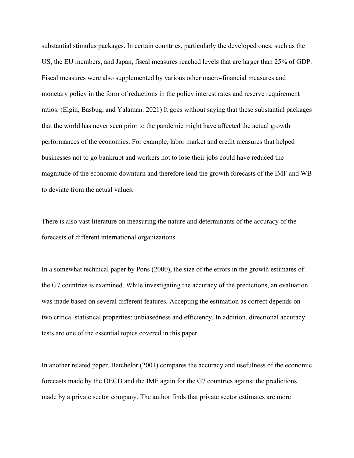substantial stimulus packages. In certain countries, particularly the developed ones, such as the US, the EU members, and Japan, fiscal measures reached levels that are larger than 25% of GDP. Fiscal measures were also supplemented by various other macro-financial measures and monetary policy in the form of reductions in the policy interest rates and reserve requirement ratios. (Elgin, Basbug, and Yalaman. 2021) It goes without saying that these substantial packages that the world has never seen prior to the pandemic might have affected the actual growth performances of the economies. For example, labor market and credit measures that helped businesses not to go bankrupt and workers not to lose their jobs could have reduced the magnitude of the economic downturn and therefore lead the growth forecasts of the IMF and WB to deviate from the actual values.

There is also vast literature on measuring the nature and determinants of the accuracy of the forecasts of different international organizations.

In a somewhat technical paper by Pons (2000), the size of the errors in the growth estimates of the G7 countries is examined. While investigating the accuracy of the predictions, an evaluation was made based on several different features. Accepting the estimation as correct depends on two critical statistical properties: unbiasedness and efficiency. In addition, directional accuracy tests are one of the essential topics covered in this paper.

In another related paper, Batchelor (2001) compares the accuracy and usefulness of the economic forecasts made by the OECD and the IMF again for the G7 countries against the predictions made by a private sector company. The author finds that private sector estimates are more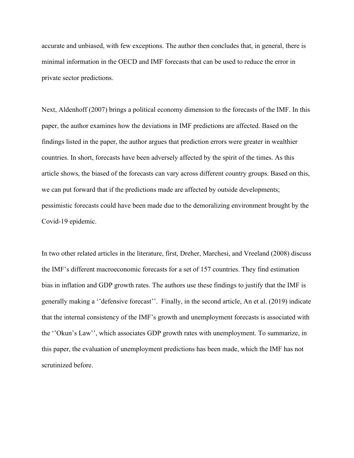accurate and unbiased, with few exceptions. The author then concludes that, in general, there is minimal information in the OECD and IMF forecasts that can be used to reduce the error in private sector predictions.

Next, Aldenhoff (2007) brings a political economy dimension to the forecasts of the IMF. In this paper, the author examines how the deviations in IMF predictions are affected. Based on the findings listed in the paper, the author argues that prediction errors were greater in wealthier countries. In short, forecasts have been adversely affected by the spirit of the times. As this article shows, the biased of the forecasts can vary across different country groups. Based on this, we can put forward that if the predictions made are affected by outside developments; pessimistic forecasts could have been made due to the demoralizing environment brought by the Covid-19 epidemic.

In two other related articles in the literature, first, Dreher, Marchesi, and Vreeland (2008) discuss the IMF's different macroeconomic forecasts for a set of 157 countries. They find estimation bias in inflation and GDP growth rates. The authors use these findings to justify that the IMF is generally making a ''defensive forecast''. Finally, in the second article, An et al. (2019) indicate that the internal consistency of the IMF's growth and unemployment forecasts is associated with the ''Okun's Law'', which associates GDP growth rates with unemployment. To summarize, in this paper, the evaluation of unemployment predictions has been made, which the IMF has not scrutinized before.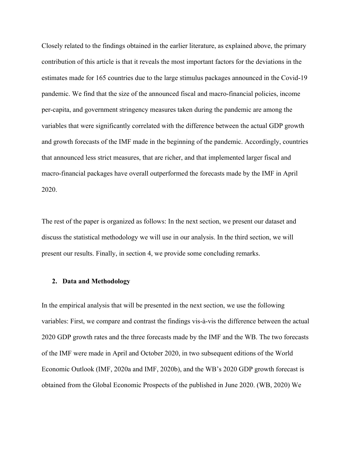Closely related to the findings obtained in the earlier literature, as explained above, the primary contribution of this article is that it reveals the most important factors for the deviations in the estimates made for 165 countries due to the large stimulus packages announced in the Covid-19 pandemic. We find that the size of the announced fiscal and macro-financial policies, income per-capita, and government stringency measures taken during the pandemic are among the variables that were significantly correlated with the difference between the actual GDP growth and growth forecasts of the IMF made in the beginning of the pandemic. Accordingly, countries that announced less strict measures, that are richer, and that implemented larger fiscal and macro-financial packages have overall outperformed the forecasts made by the IMF in April 2020.

The rest of the paper is organized as follows: In the next section, we present our dataset and discuss the statistical methodology we will use in our analysis. In the third section, we will present our results. Finally, in section 4, we provide some concluding remarks.

#### **2. Data and Methodology**

In the empirical analysis that will be presented in the next section, we use the following variables: First, we compare and contrast the findings vis-à-vis the difference between the actual 2020 GDP growth rates and the three forecasts made by the IMF and the WB. The two forecasts of the IMF were made in April and October 2020, in two subsequent editions of the World Economic Outlook (IMF, 2020a and IMF, 2020b), and the WB's 2020 GDP growth forecast is obtained from the Global Economic Prospects of the published in June 2020. (WB, 2020) We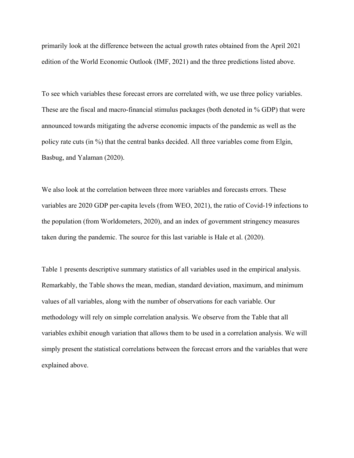primarily look at the difference between the actual growth rates obtained from the April 2021 edition of the World Economic Outlook (IMF, 2021) and the three predictions listed above.

To see which variables these forecast errors are correlated with, we use three policy variables. These are the fiscal and macro-financial stimulus packages (both denoted in % GDP) that were announced towards mitigating the adverse economic impacts of the pandemic as well as the policy rate cuts (in %) that the central banks decided. All three variables come from Elgin, Basbug, and Yalaman (2020).

We also look at the correlation between three more variables and forecasts errors. These variables are 2020 GDP per-capita levels (from WEO, 2021), the ratio of Covid-19 infections to the population (from Worldometers, 2020), and an index of government stringency measures taken during the pandemic. The source for this last variable is Hale et al. (2020).

Table 1 presents descriptive summary statistics of all variables used in the empirical analysis. Remarkably, the Table shows the mean, median, standard deviation, maximum, and minimum values of all variables, along with the number of observations for each variable. Our methodology will rely on simple correlation analysis. We observe from the Table that all variables exhibit enough variation that allows them to be used in a correlation analysis. We will simply present the statistical correlations between the forecast errors and the variables that were explained above.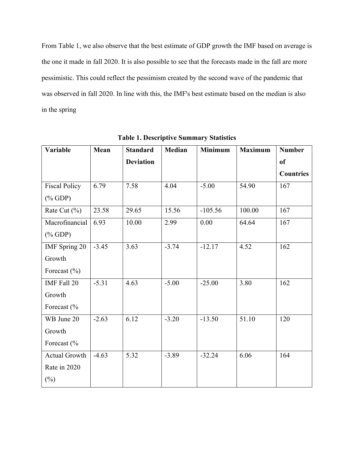From Table 1, we also observe that the best estimate of GDP growth the IMF based on average is the one it made in fall 2020. It is also possible to see that the forecasts made in the fall are more pessimistic. This could reflect the pessimism created by the second wave of the pandemic that was observed in fall 2020. In line with this, the IMF's best estimate based on the median is also in the spring

| Variable               | Mean    | <b>Standard</b>  | <b>Median</b> | <b>Minimum</b> | <b>Maximum</b> | <b>Number</b>    |
|------------------------|---------|------------------|---------------|----------------|----------------|------------------|
|                        |         | <b>Deviation</b> |               |                |                | <sub>of</sub>    |
|                        |         |                  |               |                |                | <b>Countries</b> |
| <b>Fiscal Policy</b>   | 6.79    | 7.58             | 4.04          | $-5.00$        | 54.90          | 167              |
| $(% ^{0}\circ$ GDP)    |         |                  |               |                |                |                  |
| Rate Cut $(\% )$       | 23.58   | 29.65            | 15.56         | $-105.56$      | 100.00         | 167              |
| Macrofinancial         | 6.93    | 10.00            | 2.99          | 0.00           | 64.64          | 167              |
| $(% ^{0}\circ$ GDP)    |         |                  |               |                |                |                  |
| IMF Spring 20          | $-3.45$ | 3.63             | $-3.74$       | $-12.17$       | 4.52           | 162              |
| Growth                 |         |                  |               |                |                |                  |
| Forecast $(\% )$       |         |                  |               |                |                |                  |
| IMF Fall 20            | $-5.31$ | 4.63             | $-5.00$       | $-25.00$       | 3.80           | 162              |
| Growth                 |         |                  |               |                |                |                  |
| Forecast (%            |         |                  |               |                |                |                  |
| WB June 20             | $-2.63$ | 6.12             | $-3.20$       | $-13.50$       | 51.10          | 120              |
| Growth                 |         |                  |               |                |                |                  |
| Forecast $\frac{6}{6}$ |         |                  |               |                |                |                  |
| <b>Actual Growth</b>   | $-4.63$ | 5.32             | $-3.89$       | $-32.24$       | 6.06           | 164              |
| Rate in 2020           |         |                  |               |                |                |                  |
| $(\%)$                 |         |                  |               |                |                |                  |

**Table 1. Descriptive Summary Statistics**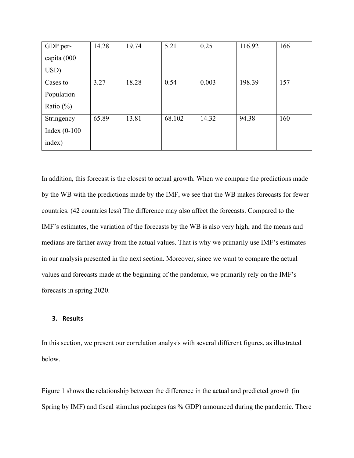| GDP per-<br>capita (000 | 14.28 | 19.74 | 5.21   | 0.25  | 116.92 | 166 |
|-------------------------|-------|-------|--------|-------|--------|-----|
| USD)                    |       |       |        |       |        |     |
| Cases to                | 3.27  | 18.28 | 0.54   | 0.003 | 198.39 | 157 |
| Population              |       |       |        |       |        |     |
| Ratio $(\%)$            |       |       |        |       |        |     |
| Stringency              | 65.89 | 13.81 | 68.102 | 14.32 | 94.38  | 160 |
| Index $(0-100)$         |       |       |        |       |        |     |
| index)                  |       |       |        |       |        |     |

In addition, this forecast is the closest to actual growth. When we compare the predictions made by the WB with the predictions made by the IMF, we see that the WB makes forecasts for fewer countries. (42 countries less) The difference may also affect the forecasts. Compared to the IMF's estimates, the variation of the forecasts by the WB is also very high, and the means and medians are farther away from the actual values. That is why we primarily use IMF's estimates in our analysis presented in the next section. Moreover, since we want to compare the actual values and forecasts made at the beginning of the pandemic, we primarily rely on the IMF's forecasts in spring 2020.

## **3. Results**

In this section, we present our correlation analysis with several different figures, as illustrated below.

Figure 1 shows the relationship between the difference in the actual and predicted growth (in Spring by IMF) and fiscal stimulus packages (as % GDP) announced during the pandemic. There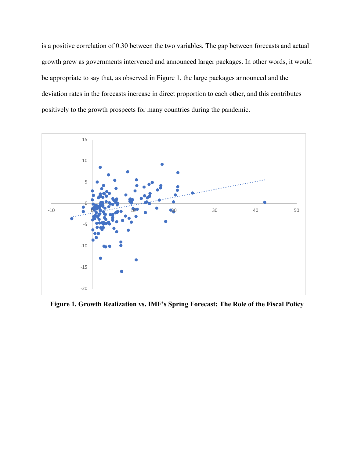is a positive correlation of 0.30 between the two variables. The gap between forecasts and actual growth grew as governments intervened and announced larger packages. In other words, it would be appropriate to say that, as observed in Figure 1, the large packages announced and the deviation rates in the forecasts increase in direct proportion to each other, and this contributes positively to the growth prospects for many countries during the pandemic.



**Figure 1. Growth Realization vs. IMF's Spring Forecast: The Role of the Fiscal Policy**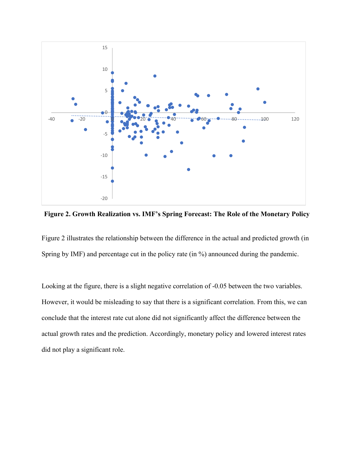

**Figure 2. Growth Realization vs. IMF's Spring Forecast: The Role of the Monetary Policy** 

Figure 2 illustrates the relationship between the difference in the actual and predicted growth (in Spring by IMF) and percentage cut in the policy rate (in %) announced during the pandemic.

Looking at the figure, there is a slight negative correlation of -0.05 between the two variables. However, it would be misleading to say that there is a significant correlation. From this, we can conclude that the interest rate cut alone did not significantly affect the difference between the actual growth rates and the prediction. Accordingly, monetary policy and lowered interest rates did not play a significant role.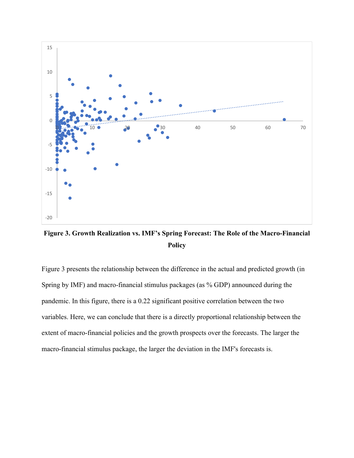

**Figure 3. Growth Realization vs. IMF's Spring Forecast: The Role of the Macro-Financial Policy** 

Figure 3 presents the relationship between the difference in the actual and predicted growth (in Spring by IMF) and macro-financial stimulus packages (as % GDP) announced during the pandemic. In this figure, there is a 0.22 significant positive correlation between the two variables. Here, we can conclude that there is a directly proportional relationship between the extent of macro-financial policies and the growth prospects over the forecasts. The larger the macro-financial stimulus package, the larger the deviation in the IMF's forecasts is.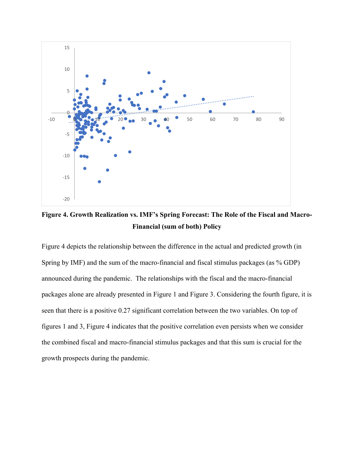

**Figure 4. Growth Realization vs. IMF's Spring Forecast: The Role of the Fiscal and Macro-Financial (sum of both) Policy** 

Figure 4 depicts the relationship between the difference in the actual and predicted growth (in Spring by IMF) and the sum of the macro-financial and fiscal stimulus packages (as % GDP) announced during the pandemic. The relationships with the fiscal and the macro-financial packages alone are already presented in Figure 1 and Figure 3. Considering the fourth figure, it is seen that there is a positive 0.27 significant correlation between the two variables. On top of figures 1 and 3, Figure 4 indicates that the positive correlation even persists when we consider the combined fiscal and macro-financial stimulus packages and that this sum is crucial for the growth prospects during the pandemic.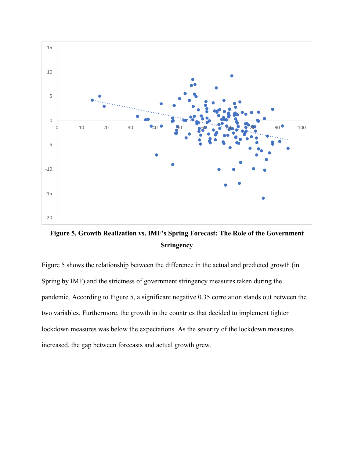

**Figure 5. Growth Realization vs. IMF's Spring Forecast: The Role of the Government Stringency** 

Figure 5 shows the relationship between the difference in the actual and predicted growth (in Spring by IMF) and the strictness of government stringency measures taken during the pandemic. According to Figure 5, a significant negative 0.35 correlation stands out between the two variables. Furthermore, the growth in the countries that decided to implement tighter lockdown measures was below the expectations. As the severity of the lockdown measures increased, the gap between forecasts and actual growth grew.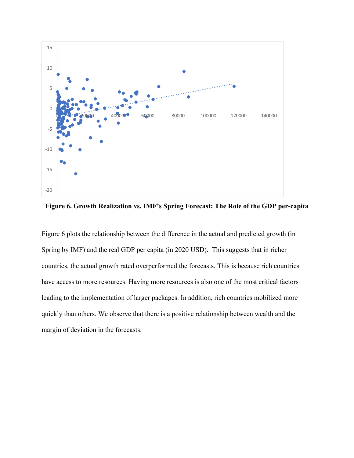

**Figure 6. Growth Realization vs. IMF's Spring Forecast: The Role of the GDP per-capita** 

Figure 6 plots the relationship between the difference in the actual and predicted growth (in Spring by IMF) and the real GDP per capita (in 2020 USD). This suggests that in richer countries, the actual growth rated overperformed the forecasts. This is because rich countries have access to more resources. Having more resources is also one of the most critical factors leading to the implementation of larger packages. In addition, rich countries mobilized more quickly than others. We observe that there is a positive relationship between wealth and the margin of deviation in the forecasts.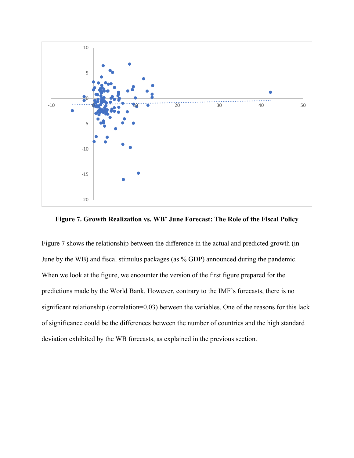



Figure 7 shows the relationship between the difference in the actual and predicted growth (in June by the WB) and fiscal stimulus packages (as % GDP) announced during the pandemic. When we look at the figure, we encounter the version of the first figure prepared for the predictions made by the World Bank. However, contrary to the IMF's forecasts, there is no significant relationship (correlation=0.03) between the variables. One of the reasons for this lack of significance could be the differences between the number of countries and the high standard deviation exhibited by the WB forecasts, as explained in the previous section.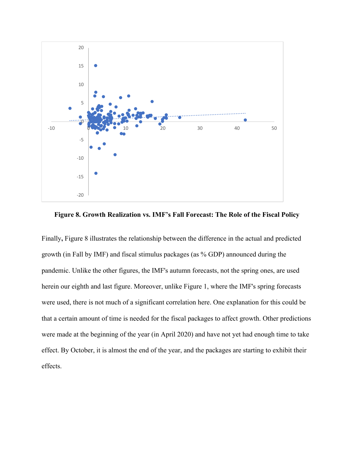

**Figure 8. Growth Realization vs. IMF's Fall Forecast: The Role of the Fiscal Policy** 

Finally**,** Figure 8 illustrates the relationship between the difference in the actual and predicted growth (in Fall by IMF) and fiscal stimulus packages (as % GDP) announced during the pandemic. Unlike the other figures, the IMF's autumn forecasts, not the spring ones, are used herein our eighth and last figure. Moreover, unlike Figure 1, where the IMF's spring forecasts were used, there is not much of a significant correlation here. One explanation for this could be that a certain amount of time is needed for the fiscal packages to affect growth. Other predictions were made at the beginning of the year (in April 2020) and have not yet had enough time to take effect. By October, it is almost the end of the year, and the packages are starting to exhibit their effects.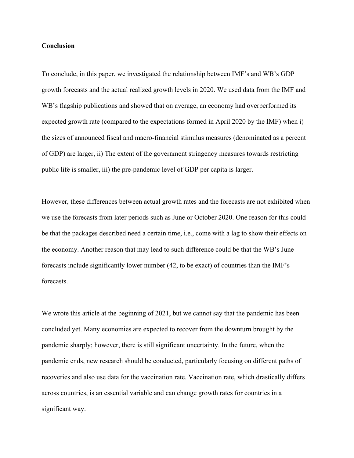#### **Conclusion**

To conclude, in this paper, we investigated the relationship between IMF's and WB's GDP growth forecasts and the actual realized growth levels in 2020. We used data from the IMF and WB's flagship publications and showed that on average, an economy had overperformed its expected growth rate (compared to the expectations formed in April 2020 by the IMF) when i) the sizes of announced fiscal and macro-financial stimulus measures (denominated as a percent of GDP) are larger, ii) The extent of the government stringency measures towards restricting public life is smaller, iii) the pre-pandemic level of GDP per capita is larger.

However, these differences between actual growth rates and the forecasts are not exhibited when we use the forecasts from later periods such as June or October 2020. One reason for this could be that the packages described need a certain time, i.e., come with a lag to show their effects on the economy. Another reason that may lead to such difference could be that the WB's June forecasts include significantly lower number (42, to be exact) of countries than the IMF's forecasts.

We wrote this article at the beginning of 2021, but we cannot say that the pandemic has been concluded yet. Many economies are expected to recover from the downturn brought by the pandemic sharply; however, there is still significant uncertainty. In the future, when the pandemic ends, new research should be conducted, particularly focusing on different paths of recoveries and also use data for the vaccination rate. Vaccination rate, which drastically differs across countries, is an essential variable and can change growth rates for countries in a significant way.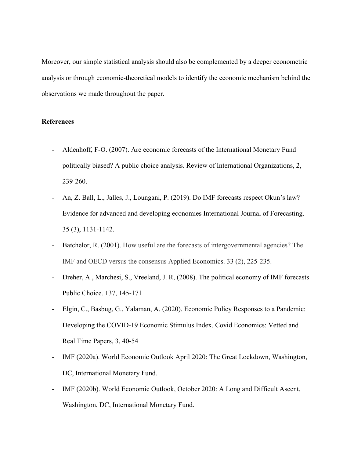Moreover, our simple statistical analysis should also be complemented by a deeper econometric analysis or through economic-theoretical models to identify the economic mechanism behind the observations we made throughout the paper.

## **References**

- Aldenhoff, F-O. (2007). Are economic forecasts of the International Monetary Fund politically biased? A public choice analysis. Review of International Organizations, 2, 239-260.
- An, Z. Ball, L., Jalles, J., Loungani, P. (2019). Do IMF forecasts respect Okun's law? Evidence for advanced and developing economies International Journal of Forecasting. 35 (3), 1131-1142.
- Batchelor, R. (2001). How useful are the forecasts of intergovernmental agencies? The IMF and OECD versus the consensus Applied Economics. 33 (2), 225-235.
- Dreher, A., Marchesi, S., Vreeland, J. R, (2008). The political economy of IMF forecasts Public Choice. 137, 145-171
- Elgin, C., Basbug, G., Yalaman, A. (2020). Economic Policy Responses to a Pandemic: Developing the COVID-19 Economic Stimulus Index. Covid Economics: Vetted and Real Time Papers, 3, 40-54
- IMF (2020a). World Economic Outlook April 2020: The Great Lockdown, Washington, DC, International Monetary Fund.
- IMF (2020b). World Economic Outlook, October 2020: A Long and Difficult Ascent, Washington, DC, International Monetary Fund.